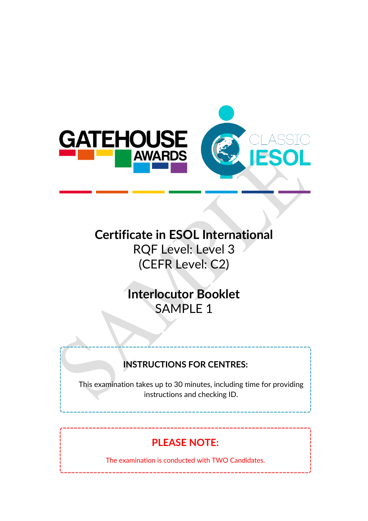

# **Certificate in ESOL International** RQF Level: Level 3 (CEFR Level: C2)

**Interlocutor Booklet** SAMPLE 1

## **INSTRUCTIONS FOR CENTRES:**

This examination takes up to 30 minutes, including time for providing instructions and checking ID.

## **PLEASE NOTE:**

The examination is conducted with TWO Candidates.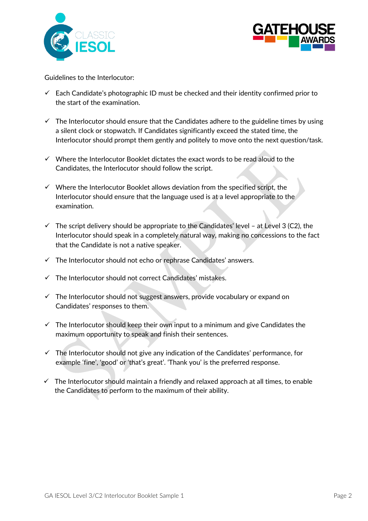



Guidelines to the Interlocutor:

- $\checkmark$  Each Candidate's photographic ID must be checked and their identity confirmed prior to the start of the examination.
- $\checkmark$  The Interlocutor should ensure that the Candidates adhere to the guideline times by using a silent clock or stopwatch. If Candidates significantly exceed the stated time, the Interlocutor should prompt them gently and politely to move onto the next question/task.
- $\checkmark$  Where the Interlocutor Booklet dictates the exact words to be read aloud to the Candidates, the Interlocutor should follow the script.
- $\checkmark$  Where the Interlocutor Booklet allows deviation from the specified script, the Interlocutor should ensure that the language used is at a level appropriate to the examination.
- $\checkmark$  The script delivery should be appropriate to the Candidates' level at Level 3 (C2), the Interlocutor should speak in a completely natural way, making no concessions to the fact that the Candidate is not a native speaker.
- $\checkmark$  The Interlocutor should not echo or rephrase Candidates' answers.
- $\checkmark$  The Interlocutor should not correct Candidates' mistakes.
- $\checkmark$  The Interlocutor should not suggest answers, provide vocabulary or expand on Candidates' responses to them.
- $\checkmark$  The Interlocutor should keep their own input to a minimum and give Candidates the maximum opportunity to speak and finish their sentences.
- $\checkmark$  The Interlocutor should not give any indication of the Candidates' performance, for example 'fine', 'good' or 'that's great'. 'Thank you' is the preferred response.
- $\checkmark$  The Interlocutor should maintain a friendly and relaxed approach at all times, to enable the Candidates to perform to the maximum of their ability.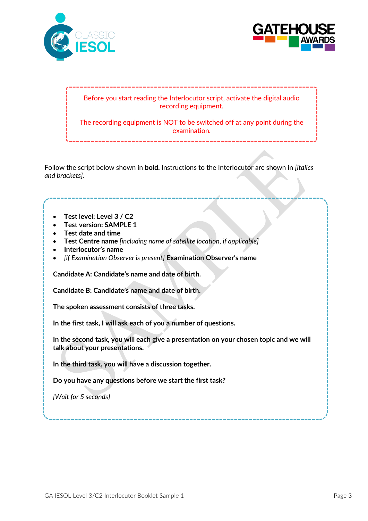



#### Before you start reading the Interlocutor script, activate the digital audio recording equipment.

The recording equipment is NOT to be switched off at any point during the examination.

Follow the script below shown in **bold.** Instructions to the Interlocutor are shown in *[italics and brackets].*

- **Test level: Level 3 / C2**
- **Test version: SAMPLE 1**
- **Test date and time**
- **Test Centre name** *[including name of satellite location, if applicable]*
- **Interlocutor's name**
- *[if Examination Observer is present]* **Examination Observer's name**

**Candidate A: Candidate's name and date of birth.**

**Candidate B: Candidate's name and date of birth.**

**The spoken assessment consists of three tasks.** 

**In the first task, I will ask each of you a number of questions.** 

**In the second task, you will each give a presentation on your chosen topic and we will talk about your presentations.**

**In the third task, you will have a discussion together.** 

**Do you have any questions before we start the first task?**

*[Wait for 5 seconds]*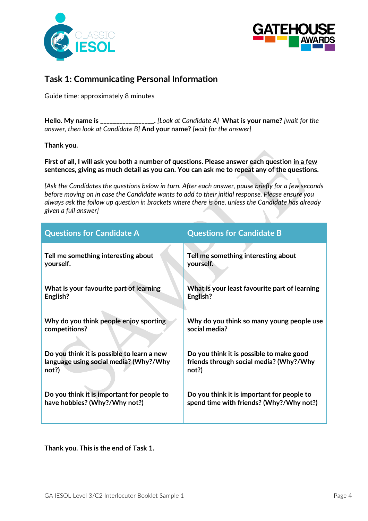



#### **Task 1: Communicating Personal Information**

Guide time: approximately 8 minutes

**Hello. My name is \_\_\_\_\_\_\_\_\_\_\_\_\_\_\_\_\_.** *[Look at Candidate A]* **What is your name?** *[wait for the answer, then look at Candidate B]* **And your name?** *[wait for the answer]*

**Thank you.**

**First of all, I will ask you both a number of questions. Please answer each question in a few sentences, giving as much detail as you can. You can ask me to repeat any of the questions.**

*[Ask the Candidates the questions below in turn. After each answer, pause briefly for a few seconds before moving on in case the Candidate wants to add to their initial response. Please ensure you always ask the follow up question in brackets where there is one, unless the Candidate has already given a full answer]*

| <b>Questions for Candidate A</b>           | <b>Questions for Candidate B</b>              |
|--------------------------------------------|-----------------------------------------------|
| Tell me something interesting about        | Tell me something interesting about           |
| yourself.                                  | yourself.                                     |
| What is your favourite part of learning    | What is your least favourite part of learning |
| English?                                   | English?                                      |
| Why do you think people enjoy sporting     | Why do you think so many young people use     |
| competitions?                              | social media?                                 |
| Do you think it is possible to learn a new | Do you think it is possible to make good      |
| language using social media? (Why?/Why     | friends through social media? (Why?/Why       |
| not?)                                      | not?)                                         |
| Do you think it is important for people to | Do you think it is important for people to    |
| have hobbies? (Why?/Why not?)              | spend time with friends? (Why?/Why not?)      |

**Thank you. This is the end of Task 1.**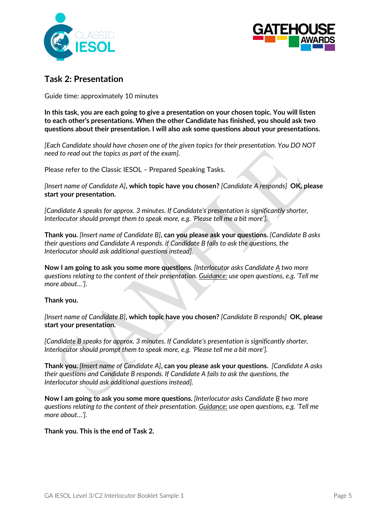



#### **Task 2: Presentation**

Guide time: approximately 10 minutes

**In this task, you are each going to give a presentation on your chosen topic. You will listen to each other's presentations. When the other Candidate has finished, you should ask two questions about their presentation. I will also ask some questions about your presentations.** 

*[Each Candidate should have chosen one of the given topics for their presentation. You DO NOT need to read out the topics as part of the exam].*

Please refer to the Classic IESOL – Prepared Speaking Tasks.

*[Insert name of Candidate A]***, which topic have you chosen?** *[Candidate A responds]* **OK, please start your presentation.** 

*[Candidate A speaks for approx. 3 minutes. If Candidate's presentation is significantly shorter, Interlocutor should prompt them to speak more, e.g. 'Please tell me a bit more'].*

**Thank you.** *[Insert name of Candidate B]***, can you please ask your questions.** *[Candidate B asks their questions and Candidate A responds. if Candidate B fails to ask the questions, the Interlocutor should ask additional questions instead].*

**Now I am going to ask you some more questions.** *[Interlocutor asks Candidate A two more questions relating to the content of their presentation. Guidance: use open questions, e.g. 'Tell me more about…'].*

#### **Thank you.**

*[Insert name of Candidate B]***, which topic have you chosen?** *[Candidate B responds]* **OK, please start your presentation.**

*[Candidate B speaks for approx. 3 minutes. If Candidate's presentation is significantly shorter, Interlocutor should prompt them to speak more, e.g. 'Please tell me a bit more'].*

**Thank you.** *[Insert name of Candidate A]***, can you please ask your questions.** *[Candidate A asks their questions and Candidate B responds. If Candidate A fails to ask the questions, the Interlocutor should ask additional questions instead].*

**Now I am going to ask you some more questions.** *[Interlocutor asks Candidate B two more questions relating to the content of their presentation. Guidance: use open questions, e.g. 'Tell me more about…'].*

**Thank you. This is the end of Task 2.**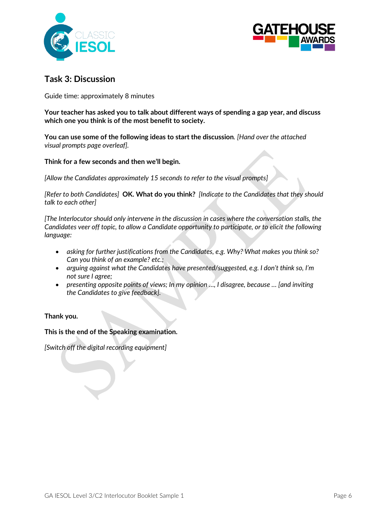



#### **Task 3: Discussion**

Guide time: approximately 8 minutes

**Your teacher has asked you to talk about different ways of spending a gap year, and discuss which one you think is of the most benefit to society.**

**You can use some of the following ideas to start the discussion***. [Hand over the attached visual prompts page overleaf].*

**Think for a few seconds and then we'll begin.** 

*[Allow the Candidates approximately 15 seconds to refer to the visual prompts]* 

*[Refer to both Candidates]* **OK. What do you think?** *[Indicate to the Candidates that they should talk to each other]* 

*[The Interlocutor should only intervene in the discussion in cases where the conversation stalls, the Candidates veer off topic, to allow a Candidate opportunity to participate, or to elicit the following language:*

- *asking for further justifications from the Candidates, e.g. Why? What makes you think so? Can you think of an example? etc.;*
- *arguing against what the Candidates have presented/suggested, e.g. I don't think so, I'm not sure I agree;*
- *presenting opposite points of views; In my opinion …, I disagree, because … [and inviting the Candidates to give feedback].*

#### **Thank you.**

**This is the end of the Speaking examination.**

*[Switch off the digital recording equipment]*